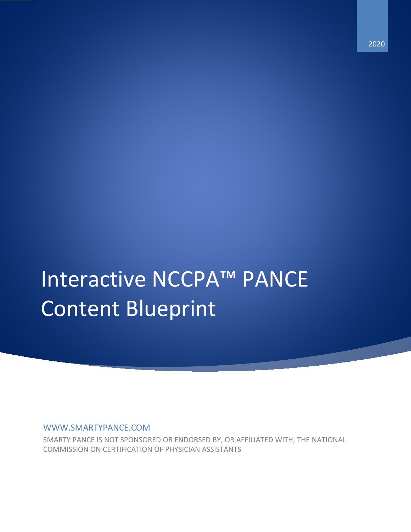# Interactive NCCPA™ PANCE Content Blueprint

WWW.SMARTYPANCE.COM

SMARTY PANCE IS NOT SPONSORED OR ENDORSED BY, OR AFFILIATED WITH, THE NATIONAL COMMISSION ON CERTIFICATION OF PHYSICIAN ASSISTANTS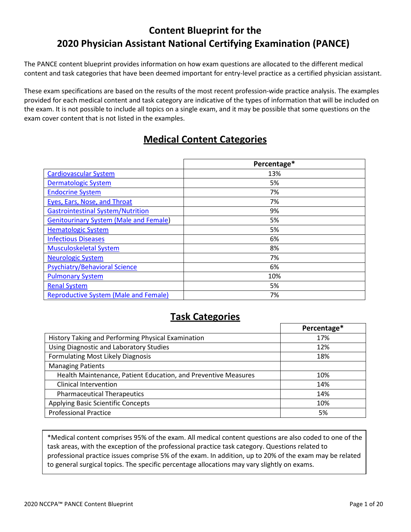# **Content Blueprint for the 2020 Physician Assistant National Certifying Examination (PANCE)**

The PANCE content blueprint provides information on how exam questions are allocated to the different medical content and task categories that have been deemed important for entry-level practice as a certified physician assistant.

These exam specifications are based on the results of the most recent profession-wide practice analysis. The examples provided for each medical content and task category are indicative of the types of information that will be included on the exam. It is not possible to include all topics on a single exam, and it may be possible that some questions on the exam cover content that is not listed in the examples.

# **Medical Content Categories**

|                                               | Percentage* |
|-----------------------------------------------|-------------|
| <b>Cardiovascular System</b>                  | 13%         |
| <b>Dermatologic System</b>                    | 5%          |
| <b>Endocrine System</b>                       | 7%          |
| Eyes, Ears, Nose, and Throat                  | 7%          |
| <b>Gastrointestinal System/Nutrition</b>      | 9%          |
| <b>Genitourinary System (Male and Female)</b> | 5%          |
| <b>Hematologic System</b>                     | 5%          |
| <b>Infectious Diseases</b>                    | 6%          |
| <b>Musculoskeletal System</b>                 | 8%          |
| <b>Neurologic System</b>                      | 7%          |
| <b>Psychiatry/Behavioral Science</b>          | 6%          |
| <b>Pulmonary System</b>                       | 10%         |
| <b>Renal System</b>                           | 5%          |
| <b>Reproductive System (Male and Female)</b>  | 7%          |

## **Task Categories**

|                                                                | Percentage* |
|----------------------------------------------------------------|-------------|
| History Taking and Performing Physical Examination             | 17%         |
| Using Diagnostic and Laboratory Studies                        | 12%         |
| Formulating Most Likely Diagnosis                              | 18%         |
| <b>Managing Patients</b>                                       |             |
| Health Maintenance, Patient Education, and Preventive Measures | 10%         |
| Clinical Intervention                                          | 14%         |
| <b>Pharmaceutical Therapeutics</b>                             | 14%         |
| Applying Basic Scientific Concepts                             | 10%         |
| <b>Professional Practice</b>                                   | 5%          |
|                                                                |             |

\*Medical content comprises 95% of the exam. All medical content questions are also coded to one of the task areas, with the exception of the professional practice task category. Questions related to professional practice issues comprise 5% of the exam. In addition, up to 20% of the exam may be related to general surgical topics. The specific percentage allocations may vary slightly on exams.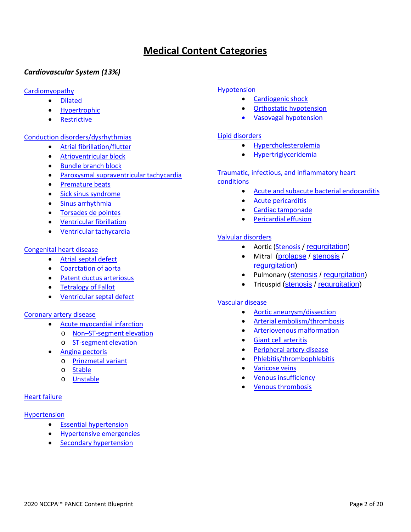# **Medical Content Categories**

## <span id="page-2-0"></span>*Cardiovascular System (13%)*

#### [Cardiomyopathy](https://smartypance.com/lessons/cardiomyopathy/restrictive-cardiomyopathy/)

- [Dilated](https://smartypance.com/lessons/cardiomyopathy/dilated-cardiomyopathy-2/)
- [Hypertrophic](https://smartypance.com/lessons/cardiomyopathy/hypertrophic-cardiomyopathy/)
- [Restrictive](https://smartypance.com/lessons/cardiomyopathy/restrictive-cardiomyopathy/)

#### [Conduction disorders/dysrhythmias](https://smartypance.com/lessons/conduction-disorders/)

- Atrial [fibrillation/flutter](https://smartypance.com/lessons/conduction-disorders/atrial-fibrillationflutter-reeldx262/)
- [Atrioventricular](https://smartypance.com/lessons/conduction-disorders/bundle-branch-block/) block
- [Bundle branch](https://smartypance.com/lessons/conduction-disorders/bundle-branch-block/) block
- [Paroxysmal supraventricular](https://smartypance.com/lessons/conduction-disorders/paroxysmal-supraventricular-tachycardia/) tachycardia
- [Premature](https://smartypance.com/lessons/conduction-disorders/premature-beats/) beats
- [Sick sinus syndrome](https://smartypance.com/lessons/conduction-disorders/sick-sinus-syndrome/)
- [Sinus arrhythmia](https://smartypance.com/lessons/conduction-disorders/sinus-arrhythmia/)
- [Torsades de](https://smartypance.com/lessons/conduction-disorders/torsades-de-pointes/) pointes
- [Ventricular](https://smartypance.com/lessons/conduction-disorders/ventricular-fibrillation/) fibrillation
- Ventricular [tachycardia](https://smartypance.com/lessons/conduction-disorders/ventricular-tachycardia/)

#### [Congenital heart disease](https://smartypance.com/lessons/congenital-heart-disease/)

- [Atrial septal](https://smartypance.com/lessons/congenital-heart-disease/atrial-septal-defect/) defect
- [Coarctation of](https://smartypance.com/lessons/congenital-heart-disease/coarctation-of-the-aorta/) aorta
- [Patent ductus](https://smartypance.com/lessons/congenital-heart-disease/patent-ductus-arteriosus/) arteriosus
- [Tetralogy of](https://smartypance.com/lessons/congenital-heart-disease/tetralogy-of-fallot/) Fallot
- [Ventricular septal](https://smartypance.com/lessons/congenital-heart-disease/ventricular-septal-defect/) defect

#### [Coronary artery disease](https://smartypance.com/lessons/coronary-heart-disease/)

- [Acute myocardial](https://smartypance.com/lessons/coronary-heart-disease/acute-myocardial-infarction/) infarction
	- o [Non–ST-segment](https://smartypance.com/lessons/coronary-heart-disease/acute-myocardial-infarction/non-st-segment-elevation/) elevation
	- o [ST-segment](https://smartypance.com/lessons/coronary-heart-disease/acute-myocardial-infarction/st-segment-elevation-myocardial-infarction/) elevation
- Angina [pectoris](https://smartypance.com/lessons/coronary-heart-disease/angina-pectoris/)
	- o [Prinzmetal](https://smartypance.com/lessons/coronary-heart-disease/angina-pectoris/prinzmetal-variant-angina/) variant
	- o [Stable](https://smartypance.com/lessons/coronary-heart-disease/angina-pectoris/prinzmetal-variant-angina/)
	- o [Unstable](https://smartypance.com/lessons/coronary-heart-disease/angina-pectoris/unstable-angina/)

#### [Heart failure](https://smartypance.com/lessons/heart-failure-reeldx408/)

#### [Hypertension](https://smartypance.com/lessons/hypertension-pearls/)

- Essential [hypertension](https://smartypance.com/lessons/hypertension-pearls/essential-hypertension/)
- [Hypertensive](https://smartypance.com/lessons/hypertension-pearls/hypertensive-emergencies/) emergencies
- Secondary [hypertension](https://smartypance.com/lessons/hypertension-pearls/secondary-hypertension/)

#### [Hypotension](https://smartypance.com/lessons/hypotension-pearls/)

- [Cardiogenic](https://smartypance.com/lessons/hypotension-pearls/cardiogenic-shock/) shock
- Orthostatic [hypotension](https://smartypance.com/lessons/hypotension-pearls/orthostatic-hypotension/)
- Vasovagal [hypotension](https://smartypance.com/lessons/hypotension-pearls/vasovagal-hypotension/)

#### [Lipid disorders](https://smartypance.com/lessons/lipid-disorders/)

- [Hypercholesterolemia](https://smartypance.com/lessons/lipid-disorders/hypercholesterolemia/)
- [Hypertriglyceridemia](https://smartypance.com/lessons/lipid-disorders/hypertriglyceridemia/)

## [Traumatic, infectious, and inflammatory heart](https://smartypance.com/lessons/forms-heart-disease/)

#### [conditions](https://smartypance.com/lessons/forms-heart-disease/)

- [Acute and subacute bacterial](https://smartypance.com/lessons/forms-heart-disease/acute-subacute-bacterial-endocarditis-reeldx405/) endocarditis
- Acute [pericarditis](https://smartypance.com/lessons/forms-heart-disease/acute-pericarditis/)
- Cardiac [tamponade](https://smartypance.com/lessons/forms-heart-disease/cardiac-tamponade/)
- [Pericardial](https://smartypance.com/lessons/forms-heart-disease/pericardial-effusion-reeldx507/) effusion

#### [Valvular disorders](https://smartypance.com/lessons/valvular-disorders/)

- Aortic [\(Stenosis](https://smartypance.com/lessons/valvular-disorders/aortic-stenosis-reeldx789/) / [regurgitation](https://smartypance.com/lessons/valvular-disorders/aortic-regurgitation/))
- Mitral [\(prolapse](https://smartypance.com/lessons/valvular-disorders/mitral-valve-prolapse/) / [stenosis](https://smartypance.com/lessons/valvular-disorders/mitral-stenosis/) / [regurgitation\)](https://smartypance.com/lessons/valvular-disorders/mitral-regurgitation/)
- Pulmonary [\(stenosis](https://smartypance.com/lessons/valvular-disorders/pulmonary-stenosis/) / [regurgitation\)](https://smartypance.com/lessons/valvular-disorders/pulmonary-regurgitation/)
- Tricuspid [\(stenosis](https://smartypance.com/lessons/valvular-disorders/tricuspid-stenosis/) / [regurgitation\)](https://smartypance.com/lessons/valvular-disorders/tricuspid-regurgitation/)

#### [Vascular disease](https://smartypance.com/lessons/vascular-disease/)

- Aortic [aneurysm/dissection](https://smartypance.com/lessons/vascular-disease/aortic-aneurysmdissection/)
- Arterial [embolism/thrombosis](https://smartypance.com/lessons/vascular-disease/arterial-embolismthrombosis/)
- [Arteriovenous](https://smartypance.com/lessons/vascular-disease/arteriovenous-malformation/) malformation
- [Giant cell](https://smartypance.com/lessons/vascular-disease/giant-cell-arteritis/) arteritis
- [Peripheral artery](https://smartypance.com/lessons/vascular-disease/peripheral-artery-disease/) disease
- [Phlebitis/thrombophlebitis](https://smartypance.com/lessons/vascular-disease/phlebitisthrombophlebitis/)
- **[Varicose](https://smartypance.com/lessons/vascular-disease/varicose-veins/) veins**
- Venous [insufficiency](https://smartypance.com/lessons/vascular-disease/venous-insufficiency-reeldx304/)
- Venous [thrombosis](https://smartypance.com/lessons/vascular-disease/venous-thrombosis/)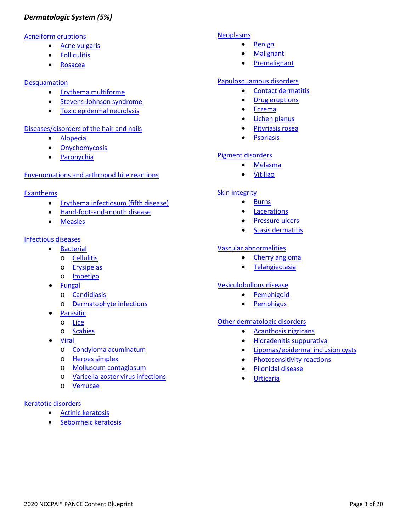## <span id="page-3-0"></span>*Dermatologic System (5%)*

#### [Acneiform eruptions](https://smartypance.com/lessons/acneiform-lesions/)

- [Acne vulgaris](https://smartypance.com/lessons/acneiform-lesions/acne-vulgaris-reeldx117/)
- [Folliculitis](https://smartypance.com/lessons/acneiform-lesions/folliculitis/)
- [Rosacea](https://smartypance.com/lessons/acneiform-lesions/rosacea/)

#### **[Desquamation](https://smartypance.com/lessons/desquamation/)**

- Erythema [multiforme](https://smartypance.com/lessons/desquamation/erythema-multiforme-reeldx316/)
- [Stevens-Johnson](https://smartypance.com/lessons/desquamation/stevens-johnson-syndrome/) syndrome
- [Toxic epidermal](https://smartypance.com/lessons/desquamation/toxic-epidermal-necrolysis/) necrolysis

#### [Diseases/disorders of the hair and](https://smartypance.com/lessons/hair-and-nails/) nails

- [Alopecia](https://smartypance.com/lessons/hair-and-nails/alopecia-reeldx577/)
- [Onychomycosis](https://smartypance.com/lessons/hair-and-nails/onychomycosis/)
- [Paronychia](https://smartypance.com/lessons/hair-and-nails/paronychia/)

#### [Envenomations and arthropod bite reactions](https://smartypance.com/lessons/spider-bites-reeldx415/)

#### **[Exanthems](https://smartypance.com/lessons/exanthems/)**

- [Erythema infectiosum \(fifth](https://smartypance.com/lessons/exanthems/erythema-infectiosum-reeldx278/) disease)
- [Hand-foot-and-mouth](https://smartypance.com/lessons/exanthems/hand-foot-and-mouth-disease-reeldx145/) disease
- [Measles](https://smartypance.com/lessons/exanthems/measles/)

#### [Infectious diseases](https://smartypance.com/lessons/dermatology-infectious-diseases/)

- **[Bacterial](https://smartypance.com/lessons/bacterial-infections/)** 
	- o [Cellulitis](https://smartypance.com/lessons/bacterial-infections/cellulitis-reeldx356/)
	- o [Erysipelas](https://smartypance.com/lessons/bacterial-infections/erysipelas/)
	- o [Impetigo](https://smartypance.com/lessons/bacterial-infections/impetigo-reeldx032/)
- [Fungal](https://smartypance.com/lessons/fungal-infections/)
	- o [Candidiasis](https://smartypance.com/lessons/fungal-infections/candidiasis-reeldx012/)
	- o [Dermatophyte infections](https://smartypance.com/lessons/fungal-infections/dermatophyte-infections-reeldx167/)
- **[Parasitic](https://smartypance.com/lessons/dermatology-infectious-diseases/insectsparasites/)**
- o [Lice](https://smartypance.com/lessons/dermatology-infectious-diseases/insectsparasites/lice-reeldx153/)
- o [Scabies](https://smartypance.com/lessons/dermatology-infectious-diseases/insectsparasites/scabies-reeldx290/)
- [Viral](https://smartypance.com/lessons/viral-diseases/)
	- o Condyloma [acuminatum](https://smartypance.com/lessons/viral-diseases/condyloma-acuminatum/)
	- o Herpes [simplex](https://smartypance.com/lessons/viral-diseases/herpes-simplex/)
	- o Molluscum [contagiosum](https://smartypance.com/lessons/viral-diseases/molluscum-contagiosum-reeldx119/)
	- o [Varicella-zoster virus](https://smartypance.com/lessons/viral-diseases/varicella-zoster-virus-infections-reeldx490/) infections
	- o [Verrucae](https://smartypance.com/lessons/verrucous-lesions/)

#### [Keratotic disorders](https://smartypance.com/lessons/keratotic-disorders/)

- Actinic [keratosis](https://smartypance.com/lessons/keratotic-disorders/actinic-keratosis/)
- [Seborrheic](https://smartypance.com/lessons/keratotic-disorders/seborrheic-keratosis/) keratosis

#### [Neoplasms](https://smartypance.com/lessons/neoplasms/)

- [Benign](https://smartypance.com/lessons/neoplasms/)
- [Malignant](https://smartypance.com/lessons/neoplasms/)
- **[Premalignant](https://smartypance.com/lessons/neoplasms/)**

#### [Papulosquamous disorders](https://smartypance.com/lessons/papulosquamous-diseases/)

- Contact [dermatitis](https://smartypance.com/lessons/eczematous-eruptions/dermatitis/)
- **Drug [eruptions](https://smartypance.com/lessons/papulosquamous-diseases/drug-eruptions-reeldx436/)**
- [Eczema](https://smartypance.com/lessons/eczematous-eruptions/dermatitis/)
- Lichen [planus](https://smartypance.com/lessons/papulosquamous-diseases/lichen-planus/)
- [Pityriasis](https://smartypance.com/lessons/papulosquamous-diseases/pityriasis-rosea-reeldx313/) rosea
- [Psoriasis](https://smartypance.com/lessons/papulosquamous-diseases/psoriasis/)

#### [Pigment disorders](https://smartypance.com/lessons/pigment-disorders/)

- [Melasma](https://smartypance.com/lessons/pigment-disorders/melasma/)
- [Vitiligo](https://smartypance.com/lessons/pigment-disorders/vitiligo-reeldx096/)

#### [Skin integrity](https://smartypance.com/lessons/skin-integrity/)

- [Burns](https://smartypance.com/lessons/skin-integrity/burns-reeldx578/)
- [Lacerations](https://smartypance.com/lessons/skin-integrity/lacerations/)
- [Pressure ulcers](https://smartypance.com/lessons/skin-integrity/pressure-ulcers/)
- Stasis [dermatitis](https://smartypance.com/lessons/skin-integrity/dermatology-stasis-dermatitis/)

#### [Vascular abnormalities](https://smartypance.com/lessons/vascular-abnormalities/)

- Cherry [angioma](https://smartypance.com/lessons/vascular-abnormalities/cherry-angioma/)
- [Telangiectasia](https://smartypance.com/lessons/vascular-abnormalities/telangiectasia/)

#### [Vesiculobullous disease](https://smartypance.com/lessons/vesicular-bullae/)

- [Pemphigoid](https://smartypance.com/lessons/vesicular-bullae/bullous-emphigoid/)
- [Pemphigus](https://smartypance.com/lessons/vesicular-bullae/pemphigus-vulgaris/)

#### [Other dermatologic disorders](https://smartypance.com/lessons/other-dermatological-conditions/)

- [Acanthosis](https://smartypance.com/lessons/other-dermatological-conditions/acanthosis-nigricans-reeldx257/) nigricans
- [Hidradenitis](https://smartypance.com/lessons/other-dermatological-conditions/hidradenitis-suppurativa/) suppurativa
- [Lipomas/epidermal inclusion](https://smartypance.com/lessons/other-dermatological-conditions/lipomasepithelial-inclusion-cysts/) cysts
- [Photosensitivity reactions](https://smartypance.com/lessons/other-dermatological-conditions/photosensitivity-reactions/)
- [Pilonidal](https://smartypance.com/lessons/other-dermatological-conditions/pilonidal-disease/) disease
- [Urticaria](https://smartypance.com/lessons/other-dermatological-conditions/urticaria-reeldx057/)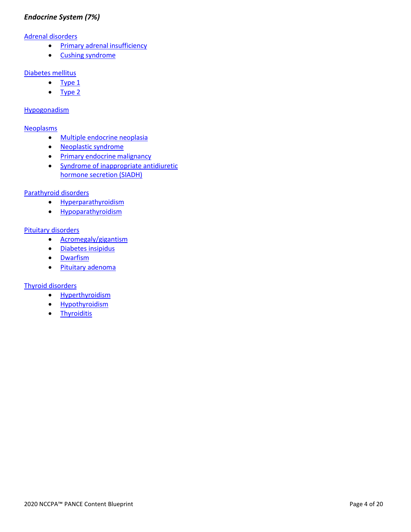## <span id="page-4-0"></span>*Endocrine System (7%)*

#### [Adrenal disorders](https://smartypance.com/lessons/diseases-adrenal-glands/)

- [Primary adrenal](https://smartypance.com/lessons/diseases-adrenal-glands/corticoadrenal-insufficiency/) insufficiency
- Cushing [syndrome](https://smartypance.com/lessons/diseases-adrenal-glands/cushings-syndrome/)

#### [Diabetes mellitus](https://smartypance.com/lessons/diabetes-mellitus/)

- [Type](https://smartypance.com/lessons/diabetes-mellitus/diabetes-mellitus-type-1/) 1
- [Type 2](https://smartypance.com/lessons/diabetes-mellitus/diabetes-mellitus-type-2/)

#### [Hypogonadism](https://smartypance.com/lessons/hypogonadism-2/)

#### [Neoplasms](https://smartypance.com/lessons/endocrine-neoplasms/)

- [Multiple endocrine](https://smartypance.com/lessons/endocrine-neoplasms/multiple-endocrine-neoplasia/) neoplasia
- [Neoplastic](https://smartypance.com/lessons/endocrine-neoplasms/neoplastic-syndrome/) syndrome
- [Primary endocrine](https://smartypance.com/lessons/endocrine-neoplasms/primary-endocrine-malignancy-pearls/) malignancy
- [Syndrome of inappropriate antidiuretic](https://smartypance.com/lessons/endocrine-neoplasms/syndrome-of-inappropriate-antidiuretic-hormone-secretion/)  [hormone secretion](https://smartypance.com/lessons/endocrine-neoplasms/syndrome-of-inappropriate-antidiuretic-hormone-secretion/) (SIADH)

#### [Parathyroid disorders](https://smartypance.com/lessons/parathyroid-disorders-pearls/)

- [Hyperparathyroidism](https://smartypance.com/lessons/parathyroid-disorders-pearls/hyperparathyroidism/)
- [Hypoparathyroidism](https://smartypance.com/lessons/parathyroid-disorders-pearls/hypoparathyroidism/)

#### [Pituitary disorders](https://smartypance.com/lessons/diseases-pituitary-gland/)

- [Acromegaly/gigantism](https://smartypance.com/lessons/diseases-pituitary-gland/acromegalygigantism/)
- [Diabetes insipidus](https://smartypance.com/lessons/diseases-pituitary-gland/diabetes-insipidus-reeldx476/)
- [Dwarfism](https://smartypance.com/lessons/diseases-pituitary-gland/dwarfism/)
- Pituitary [adenoma](https://smartypance.com/lessons/diseases-pituitary-gland/pituitary-adenoma/)

#### [Thyroid disorders](https://smartypance.com/lessons/diseases-thyroid-gland/thyroiditis/)

- [Hyperthyroidism](https://smartypance.com/lessons/diseases-thyroid-gland/hyperthyroidism-reeldx042/)
- [Hypothyroidism](https://smartypance.com/lessons/diseases-thyroid-gland/hypothyroidism/)
- [Thyroiditis](https://smartypance.com/lessons/diseases-thyroid-gland/thyroiditis/)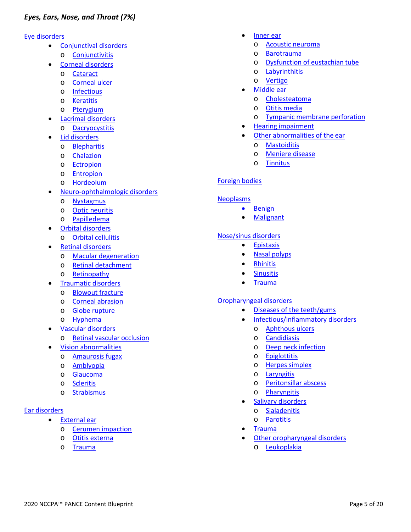#### <span id="page-5-0"></span>[Eye disorders](https://smartypance.com/lessons/eye-disorders/corneal-disorders-pearls/)

- [Conjunctival](https://smartypance.com/lessons/eye-disorders/conjunctival-disorders/) disorders o [Conjunctivitis](https://smartypance.com/lessons/eye-disorders/conjunctival-disorders/conjunctivitis-reeldx100/)
	- Corneal [disorders](https://smartypance.com/lessons/eye-disorders/corneal-disorders-pearls/)
	- o [Cataract](https://smartypance.com/lessons/eye-disorders/corneal-disorders-pearls/cataract/)
	- o [Corneal](https://smartypance.com/lessons/eye-disorders/corneal-disorders-pearls/corneal-ulcer/) ulcer
	- o [Infectious](https://smartypance.com/lessons/eye-disorders/corneal-disorders-pearls/keratitis/)
	- o [Keratitis](https://smartypance.com/lessons/eye-disorders/corneal-disorders-pearls/keratitis/)
	- o [Pterygium](https://smartypance.com/lessons/eye-disorders/corneal-disorders-pearls/pterygium-reeldx359/)
- Lacrimal [disorders](https://smartypance.com/lessons/eye-disorders/lacrimal-disorders-pearls/)
	- o [Dacryocystitis](https://smartypance.com/lessons/eye-disorders/lacrimal-disorders-pearls/dacryoadenitis/)
- Lid [disorders](https://smartypance.com/lessons/eye-disorders/lid-disorders-pearls/)
	- o [Blepharitis](https://smartypance.com/lessons/eye-disorders/lid-disorders-pearls/blepharitis/)
	- o [Chalazion](https://smartypance.com/lessons/eye-disorders/lid-disorders-pearls/chalazion/)
	- o [Ectropion](https://smartypance.com/lessons/eye-disorders/lid-disorders-pearls/ectropion/)
	- o [Entropion](https://smartypance.com/lessons/eye-disorders/lid-disorders-pearls/entropion/)
	- o [Hordeolum](https://smartypance.com/lessons/eye-disorders/lid-disorders-pearls/hordeolum-reeldx071/)
- [Neuro-ophthalmologic](https://smartypance.com/lessons/eye-disorders/neuro-ophthalmologic-disorders/) disorders
	- o [Nystagmus](https://smartypance.com/lessons/eye-disorders/neuro-ophthalmologic-disorders/nystagmus-reeldx654/)
	- o Optic [neuritis](https://smartypance.com/lessons/eye-disorders/neuro-ophthalmologic-disorders/optic-neuritis-reeldx653/)
	- o [Papilledema](https://smartypance.com/lessons/eye-disorders/neuro-ophthalmologic-disorders/papilledema-reeldx755/)
- Orbital [disorders](https://smartypance.com/lessons/eye-disorders/orbital-disorders-pearls/)
	- o Orbital [cellulitis](https://smartypance.com/lessons/eye-disorders/orbital-disorders-pearls/orbital-cellulitis-reeldx275/)
- [Retinal disorders](https://smartypance.com/lessons/eye-disorders/retinal-disorders-pearls/)
	- o Macular [degeneration](https://smartypance.com/lessons/eye-disorders/retinal-disorders-pearls/macular-degeneration/)
	- o [Retinal detachment](https://smartypance.com/lessons/eye-disorders/retinal-disorders-pearls/retinal-detachment/)
	- o [Retinopathy](https://smartypance.com/lessons/eye-disorders/retinal-disorders-pearls/retinopathy/)
- [Traumatic](https://smartypance.com/lessons/eye-disorders/traumatic-disorders/) disorders
	- o [Blowout](https://smartypance.com/lessons/eye-disorders/traumatic-disorders/blowout-fracture-reeldx268/) fracture
	- o Corneal [abrasion](https://smartypance.com/lessons/eye-disorders/traumatic-disorders/corneal-abrasion-reeldx251/)
	- o [Globe rupture](https://smartypance.com/lessons/eye-disorders/traumatic-disorders/globe-rupture/)
- o [Hyphema](https://smartypance.com/lessons/eye-disorders/hyphema-reeldx/)
- Vascular [disorders](https://smartypance.com/lessons/eye-disorders/vascular-disorders-pearls/)
- o [Retinal vascular](https://smartypance.com/lessons/eye-disorders/vascular-disorders-pearls/retinal-vascular-occlusion/) occlusion
- Vision [abnormalities](https://smartypance.com/lessons/eye-disorders/vision-abnormalities/)
	- o [Amaurosis](https://smartypance.com/lessons/eye-disorders/vision-abnormalities/amaurosis-fugax/) fugax
	- o [Amblyopia](https://smartypance.com/lessons/eye-disorders/vision-abnormalities/amblyopia-lazy-eye/)
	- o [Glaucoma](https://smartypance.com/lessons/eye-disorders/vision-abnormalities/glaucoma/)
	- o [Scleritis](https://smartypance.com/lessons/eye-disorders/vision-abnormalities/scleritis/)
	- o [Strabismus](https://smartypance.com/lessons/eye-disorders/vision-abnormalities/strabismus-reeldx280/)

## [Ear disorders](https://smartypance.com/lessons/ear-disorders/)

- **[External](https://smartypance.com/lessons/ear-disorders/external-ear-pearls/) ear** 
	- o Cerumen [impaction](https://smartypance.com/lessons/ear-disorders/external-ear-pearls/cerumen-impaction/)
	- o Otitis [externa](https://smartypance.com/lessons/ear-disorders/external-ear-pearls/otitis-externa/)
	- o [Trauma](https://smartypance.com/lessons/ear-disorders/external-ear-pearls/external-ear-trauma/)
- [Inner](https://smartypance.com/lessons/ear-disorders/inner-ear-pearls/) ear
	- o Acoustic [neuroma](https://smartypance.com/lessons/ear-disorders/inner-ear-pearls/acoustic-neuroma/)
	- o [Barotrauma](https://smartypance.com/lessons/ear-disorders/inner-ear-pearls/barotrauma/)
	- o [Dysfunction of eustachian](https://smartypance.com/lessons/ear-disorders/inner-ear-pearls/dysfunction-eustachian-tube-reeldx272/) tube
	- o [Labyrinthitis](https://smartypance.com/lessons/ear-disorders/inner-ear-pearls/labyrinthitis/)
	- o [Vertigo](https://smartypance.com/lessons/ear-disorders/inner-ear-pearls/vertigo-reeldx294/)
	- [Middle ear](https://smartypance.com/lessons/ear-disorders/middle-ear-pearls/)
		- o [Cholesteatoma](https://smartypance.com/lessons/ear-disorders/middle-ear-pearls/cholesteatoma/)
		- o Otitis [media](https://smartypance.com/lessons/ear-disorders/middle-ear-pearls/acutechronic-otitis-media-reeldx182/)
		- o [Tympanic membrane](https://smartypance.com/lessons/ear-disorders/middle-ear-pearls/tympanic-membrane-perforation-reeldx306/) perforation
	- Hearing [impairment](https://smartypance.com/lessons/ear-disorders/hearing-impairment/)
- [Other abnormalities of the](https://smartypance.com/lessons/ear-disorders/other-abnormalities-of-the-ear-pearls/) ear
	- o [Mastoiditis](https://smartypance.com/lessons/ear-disorders/other-abnormalities-of-the-ear-pearls/mastoiditis-reeldx279/)
	- o [Meniere disease](https://smartypance.com/lessons/ear-disorders/other-abnormalities-of-the-ear-pearls/meniere-disease/)
	- o [Tinnitus](https://smartypance.com/lessons/ear-disorders/other-abnormalities-of-the-ear-pearls/tinnitus/)

## [Foreign bodies](https://smartypance.com/lessons/ear-disorders/foreign-body-ear-reeldx360/)

#### [Neoplasms](https://smartypance.com/lessons/eent-benign-malignant-neoplasms/)

- [Benign](https://smartypance.com/lessons/eent-benign-malignant-neoplasms/)
- [Malignant](https://smartypance.com/lessons/eent-benign-malignant-neoplasms/)

#### [Nose/sinus disorders](https://smartypance.com/lessons/nose-sinus-disorders/)

- [Epistaxis](https://smartypance.com/lessons/nose-sinus-disorders/epistaxis/)
- [Nasal polyps](https://smartypance.com/lessons/nose-sinus-disorders/nasal-polyps/)
- [Rhinitis](https://smartypance.com/lessons/nose-sinus-disorders/allergic-rhinitis/)
- **[Sinusitis](https://smartypance.com/lessons/nose-sinus-disorders/acute-chronic-sinusitis/)**
- [Trauma](https://smartypance.com/lessons/nose-sinus-disorders/foreign-body-nose/)

#### [Oropharyngeal disorders](https://smartypance.com/lessons/mouth-throat-disorders/)

- [Diseases of the](https://smartypance.com/lessons/mouth-throat-disorders/diseases-teeth-gums-reeldx036/) teeth/gums
	- [Infectious/inflammatory](https://smartypance.com/lessons/mouth-throat-disorders/infectious-inflammatory-disorders/) disorders
		- o [Aphthous](https://smartypance.com/lessons/mouth-throat-disorders/infectious-inflammatory-disorders/aphthous-ulcers-reeldx609/) ulcers
		- o [Candidiasis](https://smartypance.com/lessons/mouth-throat-disorders/infectious-inflammatory-disorders/oral-candidiasis-reeldx232/)
		- o [Deep neck](https://smartypance.com/lessons/mouth-throat-disorders/infectious-inflammatory-disorders/deep-neck-infection/) infection
		- o [Epiglottitis](https://smartypance.com/lessons/mouth-throat-disorders/infectious-inflammatory-disorders/epiglottitis/)
		- o Herpes [simplex](https://smartypance.com/lessons/mouth-throat-disorders/infectious-inflammatory-disorders/oral-herpes-simplex-reeldx046/)
		- o [Laryngitis](https://smartypance.com/lessons/mouth-throat-disorders/infectious-inflammatory-disorders/laryngitis/)
		- o [Peritonsillar](https://smartypance.com/lessons/mouth-throat-disorders/infectious-inflammatory-disorders/peritonsillar-abcess-reeldx668/) abscess
		- o [Pharyngitis](https://smartypance.com/lessons/mouth-throat-disorders/infectious-inflammatory-disorders/acute-pharyngitis-reeldx560/)
	- Salivary [disorders](https://smartypance.com/lessons/salivary-disorders-pearls/)
		- o [Sialadenitis](https://smartypance.com/lessons/mouth-throat-disorders/salivary-disorders-pearls/sialadenitis/)
		- o [Parotitis](https://smartypance.com/lessons/mouth-throat-disorders/salivary-disorders-pearls/parotitis-reeldx570/)
	- [Trauma](https://smartypance.com/lessons/mouth-throat-disorders/oropharyngeal-trauma/)
- [Other oropharyngeal](https://smartypance.com/lessons/mouth-throat-disorders/other-oropharyngeal-disorders/) disorders
	- o [Leukoplakia](https://smartypance.com/lessons/mouth-throat-disorders/other-oropharyngeal-disorders/oral-leukoplakia/)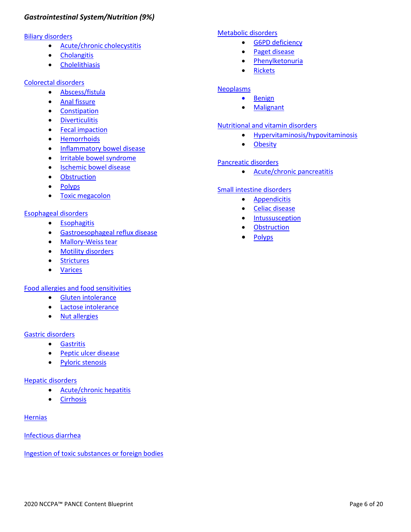## <span id="page-6-0"></span>*Gastrointestinal System/Nutrition (9%)*

## **[Biliary disorders](https://smartypance.com/lessons/diseases-of-the-gallbladder/)**

- [Acute/chronic](https://smartypance.com/lessons/diseases-of-the-gallbladder/acute-chronic-cholecystitis/) cholecystitis
- [Cholangitis](https://smartypance.com/lessons/diseases-of-the-gallbladder/cholangitis/)
- [Cholelithiasis](https://smartypance.com/lessons/diseases-of-the-gallbladder/cholelithiasis-reeldx497/)

## [Colorectal disorders](https://smartypance.com/lessons/colorectal-disorders-pearls/)

- [Abscess/fistula](https://smartypance.com/lessons/colorectal-disorders-pearls/rectal-abscess-fistula/)
- Anal [fissure](https://smartypance.com/lessons/colorectal-disorders-pearls/anal-fissure-reeldx322/)
- [Constipation](https://smartypance.com/lessons/diseases-small-intestine-colon/constipation-reeldx216/)
- [Diverticulitis](https://smartypance.com/lessons/colorectal-disorders-pearls/diverticular-disease/)
- Fecal [impaction](https://smartypance.com/lessons/colorectal-disorders-pearls/fecal-impaction/)
- [Hemorrhoids](https://smartypance.com/lessons/colorectal-disorders-pearls/hemorrhoids/)
- [Inflammatory bowel](https://smartypance.com/lessons/colorectal-disorders-pearls/inflammatory-bowel-disease/) disease
- [Irritable bowel](https://smartypance.com/lessons/colorectal-disorders-pearls/irritable-bowel-syndrome/) syndrome
- [Ischemic bowel](https://smartypance.com/lessons/colorectal-disorders-pearls/ischemic-bowel-disease/) disease
- [Obstruction](https://smartypance.com/lessons/colorectal-disorders-pearls/large-bowel-obstruction/)
- [Polyps](https://smartypance.com/lessons/colorectal-disorders-pearls/polyp/)
- Toxic [megacolon](https://smartypance.com/lessons/diseases-small-intestine-colon/toxic-megacolon/)

## [Esophageal disorders](https://smartypance.com/lessons/diseases-of-the-esophagus/)

- [Esophagitis](https://smartypance.com/lessons/diseases-of-the-esophagus/esophagitis-reeldx513/)
- [Gastroesophageal reflux](https://smartypance.com/lessons/diseases-of-the-esophagus/gastroesophageal-reflux-disease/) disease
- [Mallory-Weiss](https://smartypance.com/lessons/diseases-of-the-esophagus/mallory-weiss-tear/) tear
- Motility [disorders](https://smartypance.com/lessons/diseases-of-the-esophagus/motility-disorders/)
- [Strictures](https://smartypance.com/lessons/diseases-of-the-esophagus/esophageal-strictures/)
- [Varices](https://smartypance.com/lessons/diseases-of-the-esophagus/esophageal-varices-reeldx530/)

[Food allergies and food sensitivities](https://smartypance.com/lessons/food-allergies-and-food-sensitivities-pearls/)

- Gluten [intolerance](https://smartypance.com/lessons/diseases-small-intestine-colon/celiac-disease/)
- Lactose [intolerance](https://smartypance.com/lessons/diseases-small-intestine-colon/lactose-intolerance/)
- Nut [allergies](https://smartypance.com/lessons/food-allergies-and-food-sensitivities-pearls/nut-allergies/)

## [Gastric disorders](https://smartypance.com/lessons/disorders-of-the-stomach/)

- [Gastritis](https://smartypance.com/lessons/disorders-of-the-stomach/gastritis/)
- [Peptic ulcer](https://smartypance.com/lessons/disorders-of-the-stomach/peptic-ulcer-disease/) disease
- Pyloric [stenosis](https://smartypance.com/lessons/disorders-of-the-stomach/pyloric-stenosis-reeldx527/)

## [Hepatic disorders](https://smartypance.com/lessons/liver-disorders/)

- [Acute/chronic](https://smartypance.com/lessons/liver-disorders/acute-chronic-hepatitis/) hepatitis
- [Cirrhosis](https://smartypance.com/lessons/liver-disorders/cirrhosis-reeldx516/)

#### **[Hernias](https://smartypance.com/lessons/hernias-reeldx084/)**

## [Infectious diarrhea](https://smartypance.com/lessons/infectious-noninfectious-diarrhea-reeldx532/)

Ingestion of toxic [substances or foreign bodies](https://smartypance.com/lessons/ingestion-of-toxic-substances-or-foreign-bodies/)

#### [Metabolic disorders](https://smartypance.com/lessons/metabolic-disorders-pearls/)

- G6PD [deficiency](https://smartypance.com/lessons/anemias/hemolytic-anemia/g6pd-deficiency/)
- Paget [disease](https://smartypance.com/lessons/metabolic-disorders-pearls/paget-disease/)
- [Phenylketonuria](https://smartypance.com/lessons/metabolic-disorders/)
- [Rickets](https://smartypance.com/lessons/metabolic-disorders-pearls/rickets/)

## **[Neoplasms](https://smartypance.com/lessons/gastrointestinal-system-neoplasms-pearls/)**

- [Benign](https://smartypance.com/lessons/gastrointestinal-system-neoplasms-pearls/)
- [Malignant](https://smartypance.com/lessons/gastrointestinal-system-neoplasms-pearls/)

#### [Nutritional and vitamin disorders](https://smartypance.com/lessons/nutritional-and-vitamin-disorders/)

- [Hypervitaminosis/hypovitaminosis](https://smartypance.com/lessons/nutritional-and-vitamin-disorders/vitamin-nutrional-deficiencies-reeldx146/)
- [Obesity](https://smartypance.com/lessons/nutritional-and-vitamin-disorders/obesity/)

## [Pancreatic disorders](https://smartypance.com/lessons/disorders-of-the-pancreas/)

• [Acute/chronic](https://smartypance.com/lessons/disorders-of-the-pancreas/acute-chronic-pancreatitis/) pancreatitis

#### [Small intestine disorders](https://smartypance.com/lessons/diseases-small-intestine-colon/lactose-intolerance/)

- [Appendicitis](https://smartypance.com/lessons/diseases-small-intestine-colon/appendicitis-reeldx581/)
- Celiac [disease](https://smartypance.com/lessons/diseases-small-intestine-colon/celiac-disease/)
- [Intussusception](https://smartypance.com/lessons/diseases-small-intestine-colon/intussusception-reeldx508/)
- [Obstruction](https://smartypance.com/lessons/diseases-small-intestine-colon/obstruction/)
- [Polyps](https://smartypance.com/lessons/diseases-small-intestine-colon/polyp/)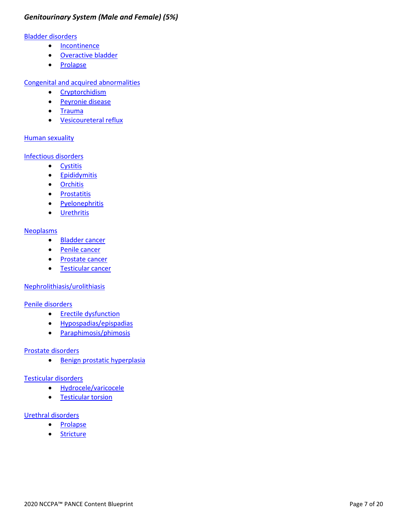## *Genitourinary System (Male and Female) (5%)*

#### [Bladder disorders](https://smartypance.com/lessons/bladder-disorders-pearls/)

- [Incontinence](https://smartypance.com/lessons/bladder-disorders-pearls/incontinence/)
- [Overactive bladder](https://smartypance.com/lessons/bladder-disorders-pearls/incontinence/)
- [Prolapse](https://smartypance.com/lessons/bladder-disorders-pearls/bladder-prolapse/)

[Congenital and acquired abnormalities](https://smartypance.com/lessons/congenital-and-acquired-abnormalities/)

- [Cryptorchidism](https://smartypance.com/lessons/gu-tract-conditions/cryptorchidism-reeldx016/)
- [Peyronie](https://smartypance.com/lessons/congenital-and-acquired-abnormalities/peyronie-disease/) disease
- [Trauma](https://smartypance.com/lessons/congenital-and-acquired-abnormalities/genitourinary-trauma/)
- [Vesicoureteral reflux](https://smartypance.com/lessons/congenital-and-acquired-abnormalities/vesicoureteral-reflux/)

#### Human [sexuality](https://smartypance.com/lessons/genitourinary-system-human-sexuality/)

[Infectious disorders](https://smartypance.com/lessons/infectious-inflammatory-conditions/)

- [Cystitis](https://smartypance.com/lessons/infectious-inflammatory-conditions/cystitis/)
- [Epididymitis](https://smartypance.com/lessons/infectious-inflammatory-conditions/epididymitis/)
- [Orchitis](https://smartypance.com/lessons/infectious-inflammatory-conditions/orchitis/)
- [Prostatitis](https://smartypance.com/lessons/infectious-inflammatory-conditions/prostatitis/)
- [Pyelonephritis](https://smartypance.com/lessons/infectious-inflammatory-conditions/pyelonephritis/)
- [Urethritis](https://smartypance.com/lessons/infectious-inflammatory-conditions/urethritis/)

#### **[Neoplasms](https://smartypance.com/lessons/neoplastic-diseases-genitourinary-system/)**

- [Bladder cancer](https://smartypance.com/lessons/neoplastic-diseases-genitourinary-system/bladder-cancer/)
- Penile [cancer](https://smartypance.com/lessons/neoplastic-diseases-genitourinary-system/penile-cancer/)
- [Prostate cancer](https://smartypance.com/lessons/neoplastic-diseases-genitourinary-system/prostate-cancer/)
- [Testicular](https://smartypance.com/lessons/neoplastic-diseases-genitourinary-system/testicular-cancer/) cancer

## [Nephrolithiasis/urolithiasis](https://smartypance.com/lessons/gu-tract-conditions/nephrolithiasisurolithiasis-reeldx511/)

#### [Penile disorders](https://smartypance.com/lessons/penile-disorders-pearls/)

- [Erectile dysfunction](https://smartypance.com/lessons/gu-tract-conditions/erectile-dysfunction/)
- [Hypospadias/epispadias](https://smartypance.com/lessons/penile-disorders-pearls/hypospadias-epispadias-reeldx202/)
- [Paraphimosis/phimosis](https://smartypance.com/lessons/penile-disorders-pearls/paraphimosisphimosis/)

#### [Prostate disorders](https://smartypance.com/lessons/prostate-disorders/)

• [Benign prostatic](https://smartypance.com/lessons/prostate-disorders/benign-prostatic-hyperplasia/) hyperplasia

#### [Testicular disorders](https://smartypance.com/lessons/testicular-disorders-pearls/)

- [Hydrocele/varicocele](https://smartypance.com/lessons/testicular-disorders-pearls/hydrocelevaricocele-reeldx563/)
- [Testicular](https://smartypance.com/lessons/testicular-disorders-pearls/testicular-torsion/) torsion

#### [Urethral disorders](https://smartypance.com/lessons/urethral-disorders/)

- [Prolapse](https://smartypance.com/lessons/urethral-disorders/urethral-prolapse/)
- [Stricture](https://smartypance.com/lessons/urethral-disorders/urethral-stricture/)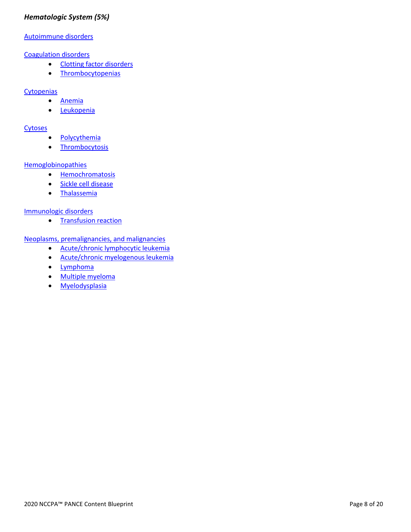## <span id="page-8-0"></span>*Hematologic System (5%)*

#### [Autoimmune disorders](https://smartypance.com/lessons/autoimmune-hematologic-disorders/)

#### [Coagulation disorders](https://smartypance.com/lessons/coagulation-disorders/)

- [Clotting factor](https://smartypance.com/lessons/coagulation-disorders/clotting-factor-disorders/) disorders
- [Thrombocytopenias](https://smartypance.com/lessons/coagulation-disorders/thrombocytopenia/)

#### **[Cytopenias](https://smartypance.com/lessons/cytopenias/)**

- [Anemia](https://smartypance.com/lessons/cytopenias/anemias/)
- [Leukopenia](https://smartypance.com/lessons/cytopenias/leukopenia/)

#### **[Cytoses](https://smartypance.com/lessons/cytoses/)**

- [Polycythemia](https://smartypance.com/lessons/cytoses/polycythemia/)
- [Thrombocytosis](https://smartypance.com/lessons/cytoses/thrombocytosis/)

#### **[Hemoglobinopathies](https://smartypance.com/lessons/hemoglobinopathies/)**

- [Hemochromatosis](https://smartypance.com/lessons/hemoglobinopathies/hemochromatosis/)
- [Sickle cell disease](https://smartypance.com/lessons/hemoglobinopathies/sickle-cell-anemia-reeldx354/)
- [Thalassemia](https://smartypance.com/lessons/hemoglobinopathies/thalassemia/)

#### [Immunologic disorders](https://smartypance.com/lessons/immunologic-disorders/)

• [Transfusion](https://smartypance.com/lessons/immunologic-disorders/transfusion-reaction/) reaction

## [Neoplasms, premalignancies, and malignancies](https://smartypance.com/lessons/hematologic-malignancies/)

- [Acute/chronic lymphocytic](https://smartypance.com/lessons/hematologic-malignancies/acute-chronic-lymphocytic-leukemia/) leukemia
- [Acute/chronic myelogenous](https://smartypance.com/lessons/hematologic-malignancies/acute-chronic-myelogenous-leukemia/) leukemia
- [Lymphoma](https://smartypance.com/lessons/hematologic-malignancies/lymphoma/)
- Multiple [myeloma](https://smartypance.com/lessons/hematologic-malignancies/multiple-myeloma/)
- [Myelodysplasia](https://smartypance.com/lessons/hematologic-malignancies/myelodysplasia/)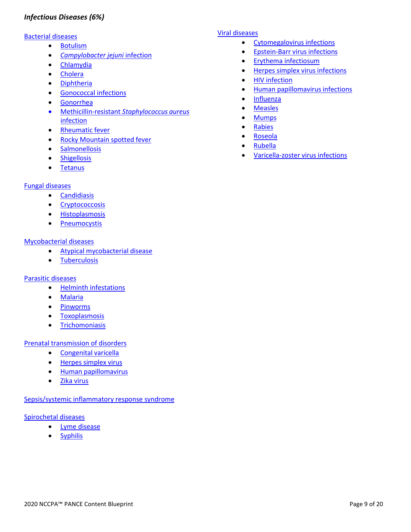## <span id="page-9-0"></span>*Infectious Diseases (6%)*

#### [Bacterial diseases](https://smartypance.com/lessons/bacterial-disease/)

- [Botulism](https://smartypance.com/lessons/bacterial-disease/botulism/)
- *[Campylobacter jejuni](https://smartypance.com/lessons/bacterial-disease/campylobacter-jejuni-infection/)* infection
- [Chlamydia](https://smartypance.com/lessons/bacterial-disease/chlamydia/)
- [Cholera](https://smartypance.com/lessons/bacterial-disease/cholera/)
- [Diphtheria](https://smartypance.com/lessons/bacterial-disease/diphtheria/)
- [Gonococcal](https://smartypance.com/lessons/bacterial-disease/gonococcal-infections/) infections
- [Gonorrhea](https://smartypance.com/lessons/bacterial-disease/gonococcal-infections/)
- [Methicillin-resistant](https://smartypance.com/lessons/bacterial-disease/methicillin-resistant-staphylococcus-aureus-infection/) *Staphylococcus aureus* [infection](https://smartypance.com/lessons/bacterial-disease/methicillin-resistant-staphylococcus-aureus-infection/)
- [Rheumatic](https://smartypance.com/lessons/bacterial-disease/acute-rheumatic-fever/) fever
- [Rocky Mountain spotted](https://smartypance.com/lessons/spirochetal-disease/rocky-mountain-spotted/) fever
- [Salmonellosis](https://smartypance.com/lessons/bacterial-disease/salmonellosis/)
- [Shigellosis](https://smartypance.com/lessons/bacterial-disease/shigellosis/)
- [Tetanus](https://smartypance.com/lessons/bacterial-disease/tetanus/)

#### [Fungal diseases](https://smartypance.com/lessons/fungal-disease/)

- [Candidiasis](https://smartypance.com/lessons/fungal-disease/candidiasis/)
- [Cryptococcosis](https://smartypance.com/lessons/fungal-disease/cryptococcosis/)
- [Histoplasmosis](https://smartypance.com/lessons/fungal-disease/histoplasmosis/)
- [Pneumocystis](https://smartypance.com/lessons/fungal-disease/pneumocystis/)

#### [Mycobacterial diseases](https://smartypance.com/lessons/mycobacterial-disease/)

- [Atypical mycobacterial](https://smartypance.com/lessons/mycobacterial-disease/atypical-mycobacterial-disease/) disease
- [Tuberculosis](https://smartypance.com/lessons/mycobacterial-disease/tuberculosis/)

#### [Parasitic diseases](https://smartypance.com/lessons/parasitic-disease/)

- Helminth [infestations](https://smartypance.com/lessons/parasitic-disease/helminth-infestations/)
- [Malaria](https://smartypance.com/lessons/parasitic-disease/helminth-infestations/malaria/)
- [Pinworms](https://smartypance.com/lessons/parasitic-disease/helminth-infestations/pinworms/)
- [Toxoplasmosis](https://smartypance.com/lessons/parasitic-disease/helminth-infestations/toxoplasmosis/)
- [Trichomoniasis](https://smartypance.com/lessons/parasitic-disease/trichomoniasis/)

## [Prenatal transmission of disorders](https://smartypance.com/lessons/prenatal-transmission-of-disorders-pearls/)

- [Congenital](https://smartypance.com/lessons/prenatal-transmission-of-disorders-pearls/congenital-varicella/) varicella
- [Herpes simplex](https://smartypance.com/lessons/prenatal-transmission-of-disorders-pearls/herpes-simplex-virus/) virus
- Human [papillomavirus](https://smartypance.com/lessons/prenatal-transmission-of-disorders-pearls/perinatal-human-papillomavirus/)
- Zika [virus](https://smartypance.com/lessons/prenatal-transmission-of-disorders-pearls/zika-virus/)

#### [Sepsis/systemic inflammatory response syndrome](https://smartypance.com/lessons/sepsis-systemic-inflammatory-response-syndrome/)

#### [Spirochetal diseases](https://smartypance.com/lessons/spirochetal-disease/rocky-mountain-spotted/)

- [Lyme disease](https://smartypance.com/lessons/spirochetal-disease/lyme-disease/)
- [Syphilis](https://smartypance.com/lessons/spirochetal-disease/syphilis/)

## [Viral diseases](https://smartypance.com/lessons/viral-disease/)

- [Cytomegalovirus](https://smartypance.com/lessons/viral-disease/cytomegalovirus-infections-reeldx281/) infections
- [Epstein-Barr virus](https://smartypance.com/lessons/viral-disease/epstein-barr-virus-infections-reeldx-075/) infections
- Erythema [infectiosum](https://smartypance.com/lessons/viral-disease/erythema-infectiosum-reeldx278/)
- [Herpes simplex virus](https://smartypance.com/lessons/viral-disease/herpes-simplex-reeldx076/) infections
- HIV [infection](https://smartypance.com/lessons/viral-disease/hiv/)
- [Human papillomavirus](https://smartypance.com/lessons/viral-disease/human-papillomavirus-infections/) infections
- [Influenza](https://smartypance.com/lessons/viral-disease/influenza/)
- [Measles](https://smartypance.com/lessons/viral-disease/measles/)
- [Mumps](https://smartypance.com/lessons/viral-disease/mumps/)
- [Rabies](https://smartypance.com/lessons/viral-disease/rabies/)
- [Roseola](https://smartypance.com/lessons/viral-disease/roseola/)
- [Rubella](https://smartypance.com/lessons/viral-disease/rubella/)
- [Varicella-zoster virus](https://smartypance.com/lessons/viral-disease/varicella-zoster-virus/) infections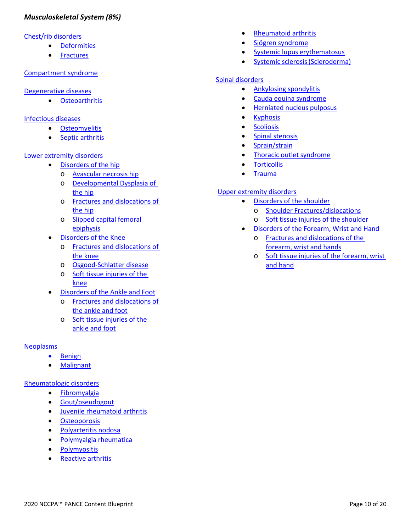## <span id="page-10-0"></span>*Musculoskeletal System (8%)*

#### [Chest/rib disorders](https://smartypance.com/lessons/chest-rib-disorders/)

- [Deformities](https://smartypance.com/lessons/chest-rib-disorders/chest-rib-deformities/)
- [Fractures](https://smartypance.com/lessons/chest-rib-disorders/chest-trauma/)

#### [Compartment](https://smartypance.com/lessons/compartment-syndrome/) syndrome

#### [Degenerative diseases](https://smartypance.com/lessons/degenerative-diseases/osteoarthritis)

• [Osteoarthritis](https://smartypance.com/lessons/osteoarthritis/)

#### [Infectious diseases](https://smartypance.com/lessons/infectious-diseases/)

- [Osteomyelitis](https://smartypance.com/lessons/infectious-diseases/acute-chronic-osteomyelitis-reeldx518/)
- Septic [arthritis](https://smartypance.com/lessons/infectious-diseases/septic-arthritis-reeldx307/)

## [Lower extremity disorders](https://smartypance.com/lessons/lower-extremity-disorders/)

- [Disorders of the hip](https://smartypance.com/lessons/infectious-disorders/pneumonias/)
	- o [Avascular necrosis hip](https://smartypance.com/lessons/disorders-of-the-hip/avascular-necrosis-hip/)
	- o [Developmental Dysplasia of](https://smartypance.com/lessons/disorders-of-the-hip/development-dysplasia-reeldx222/)  [the hip](https://smartypance.com/lessons/disorders-of-the-hip/development-dysplasia-reeldx222/)
	- o [Fractures and dislocations of](https://smartypance.com/lessons/disorders-of-the-hip/fractures-dislocations-hip/)  [the hip](https://smartypance.com/lessons/disorders-of-the-hip/fractures-dislocations-hip/)
	- o [Slipped capital femoral](https://smartypance.com/lessons/disorders-of-the-hip/slipped-capital-femoral-epiphysis/)  [epiphysis](https://smartypance.com/lessons/disorders-of-the-hip/slipped-capital-femoral-epiphysis/)
- [Disorders of the Knee](https://smartypance.com/lessons/lower-extremity-disorders/disorders-of-the-knee/)
	- o [Fractures and dislocations of](https://smartypance.com/lessons/disorders-of-the-knee/fractures-dislocations-knee/)  [the knee](https://smartypance.com/lessons/disorders-of-the-knee/fractures-dislocations-knee/)
	- o [Osgood-Schlatter disease](https://smartypance.com/lessons/disorders-of-the-knee/osgood-schlatter-disease-reeldx213/)
	- o [Soft tissue injuries of the](https://smartypance.com/lessons/disorders-of-the-knee/soft-tissue-injuries-knee-reeldx263/)  [knee](https://smartypance.com/lessons/disorders-of-the-knee/soft-tissue-injuries-knee-reeldx263/)
- [Disorders of the Ankle and Foot](https://smartypance.com/lessons/lower-extremity-disorders/disorders-ankle-foot/)
	- o [Fractures and dislocations of](https://smartypance.com/lessons/disorders-of-the-knee/fractures-dislocations-knee/)  [the ankle and foot](https://smartypance.com/lessons/disorders-of-the-knee/fractures-dislocations-knee/)
	- o [Soft tissue injuries of the](https://smartypance.com/lessons/disorders-ankle-foot/soft-tissue-injuries-anklefoot-reeldx074/)  [ankle and foot](https://smartypance.com/lessons/disorders-ankle-foot/soft-tissue-injuries-anklefoot-reeldx074/)

## [Neoplasms](https://smartypance.com/lessons/neoplastic-disease/)

- [Benign](https://smartypance.com/lessons/neoplastic-disease/)
- [Malignant](https://smartypance.com/lessons/neoplastic-disease/)

## [Rheumatologic disorders](https://smartypance.com/lessons/rheumatologic-conditions-pearls/)

- [Fibromyalgia](https://smartypance.com/lessons/rheumatologic-conditions-pearls/fibromyalgia/)
- [Gout/pseudogout](https://smartypance.com/lessons/rheumatologic-conditions-pearls/goutpseudogout/)
- [Juvenile rheumatoid](https://smartypance.com/lessons/rheumatologic-conditions-pearls/juvenile-rheumatoid-arthritis/) arthritis
- [Osteoporosis](https://smartypance.com/lessons/rheumatologic-conditions-pearls/osteoporosis/)
- [Polyarteritis](https://smartypance.com/lessons/rheumatologic-conditions-pearls/polymyalgia-rheumatica/) nodosa
- [Polymyalgia](https://smartypance.com/lessons/rheumatologic-conditions-pearls/polymyalgia-rheumatica/) rheumatica
- [Polymyositis](https://smartypance.com/lessons/rheumatologic-conditions-pearls/polymyositis-reeldx101/)
- [Reactive](https://smartypance.com/lessons/rheumatologic-conditions-pearls/reactive-arthritis-reiter-syndrome/) arthritis
- [Rheumatoid](https://smartypance.com/lessons/rheumatologic-conditions-pearls/rheumatoid-arthritis/) arthritis
- Sjögren [syndrome](https://smartypance.com/lessons/rheumatologic-conditions-pearls/sjogren-syndrome/)
- Systemic lupus [erythematosus](https://smartypance.com/lessons/rheumatologic-conditions-pearls/systemic-lupus-erythematosus/)
- [Systemic sclerosis\(Scleroderma\)](https://smartypance.com/lessons/rheumatologic-conditions-pearls/systemic-sclerosis-scleroderma-reeldx764/)

#### [Spinal disorders](https://smartypance.com/lessons/compartment-syndrome/)

- [Ankylosing](https://smartypance.com/lessons/disorders-back-spine/ankylosing-spondylitis/) spondylitis
- [Cauda equina](https://smartypance.com/lessons/disorders-back-spine/cauda-equina-syndrome/) syndrome
- [Herniated nucleus](https://smartypance.com/lessons/disorders-back-spine/herniated-nucleus-pulposus/) pulposus
- **[Kyphosis](https://smartypance.com/lessons/disorders-back-spine/kyphosis/)**
- **[Scoliosis](https://smartypance.com/lessons/disorders-back-spine/scoliosis/)**
- Spinal [stenosis](https://smartypance.com/lessons/disorders-back-spine/spinal-stenosis/)
- [Sprain/strain](https://smartypance.com/lessons/disorders-back-spine/back-strain-sprain-reeldx219/)
- [Thoracic outlet](https://smartypance.com/lessons/disorders-back-spine/thoracic-outlet-syndrome/) syndrome
- [Torticollis](https://smartypance.com/lessons/disorders-back-spine/torticollis/)
- **[Trauma](https://smartypance.com/lessons/disorders-back-spine/trauma-of-the-spine/)**

## [Upper extremity disorders](https://smartypance.com/lessons/upper-extremity-disorders/)

- [Disorders of the shoulder](https://smartypance.com/lessons/disorders-of-the-shoulder/)
	- o [Shoulder Fractures/dislocations](https://smartypance.com/lessons/disorders-of-the-shoulder/shoulder-fracturesdislocations-reeldx134/)
	- o [Soft tissue injuries of the shoulder](https://smartypance.com/lessons/disorders-of-the-shoulder/soft-tissue-injuries-shoulder/)
- [Disorders of the Forearm, Wrist and Hand](https://smartypance.com/lessons/disorders-of-the-shoulder/)
	- o [Fractures and dislocations of the](https://smartypance.com/lessons/disorders-of-the-shoulder/shoulder-fracturesdislocations-reeldx134/)  [forearm, wrist and hands](https://smartypance.com/lessons/disorders-of-the-shoulder/shoulder-fracturesdislocations-reeldx134/)
	- o [Soft tissue injuries of the forearm, wrist](https://smartypance.com/lessons/disorders-of-the-forearmwristhand-reeldx493/reeldx225/)  [and hand](https://smartypance.com/lessons/disorders-of-the-forearmwristhand-reeldx493/reeldx225/)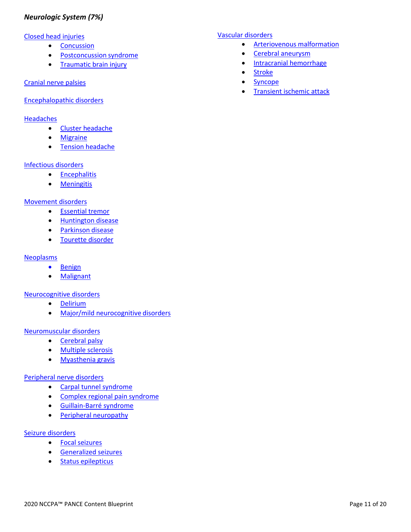## <span id="page-11-0"></span>*Neurologic System (7%)*

#### [Closed head injuries](https://smartypance.com/lessons/closed-head-injuries-pearls/)

- [Concussion](https://smartypance.com/lessons/closed-head-injuries-pearls/concussion-reeldx720/)
- [Postconcussion](https://smartypance.com/lessons/closed-head-injuries-pearls/postconcussion-syndrome/) syndrome
- [Traumatic brain injury](https://smartypance.com/lessons/closed-head-injuries-pearls/traumatic-brain-injury/)

#### [Cranial nerve palsies](https://smartypance.com/lessons/cranial-nerves-picmonic/)

#### [Encephalopathic](https://smartypance.com/lessons/encephalopathic-disorders/) disorders

#### **[Headaches](https://smartypance.com/lessons/headaches/)**

- Cluster [headache](https://smartypance.com/lessons/headaches/cluster-headache/)
- [Migraine](https://smartypance.com/lessons/headaches/migraine/)
- Tension [headache](https://smartypance.com/lessons/headaches/tension-headache/)

#### [Infectious disorders](https://smartypance.com/lessons/infectious-disorders-3/)

- [Encephalitis](https://smartypance.com/lessons/infectious-disorders-3/encephalitis/)
- [Meningitis](https://smartypance.com/lessons/infectious-disorders-3/meningitis/)

#### [Movement disorders](https://smartypance.com/lessons/movement-disorders/)

- [Essential](https://smartypance.com/lessons/movement-disorders/essential-tremor/) tremor
- [Huntington](https://smartypance.com/lessons/movement-disorders/huntington-disease/) disease
- [Parkinson](https://smartypance.com/lessons/movement-disorders/parkinson-disease/) disease
- [Tourette](https://smartypance.com/lessons/other-neurologic-disorders/tourette-disorder/) disorder

#### **[Neoplasms](https://smartypance.com/lessons/neurologic-system-intracranial-neoplasms/)**

- [Benign](https://smartypance.com/lessons/neurologic-system-intracranial-neoplasms/)
- [Malignant](https://smartypance.com/lessons/neurologic-system-intracranial-neoplasms/)

#### [Neurocognitive disorders](https://smartypance.com/lessons/neurocognitive-disorders-pearls/)

- [Delirium](https://smartypance.com/lessons/neurocognitive-disorders-pearls/delirium/)
- [Major/mild neurocognitive](https://smartypance.com/lessons/neurocognitive-disorders-pearls/major-mild-neurocognitive-disorders/) disorders

#### [Neuromuscular disorders](https://smartypance.com/lessons/neuromuscular-disorders-pearls/)

- [Cerebral](https://smartypance.com/lessons/neuromuscular-disorders-pearls/cerebral-palsy-reeldx606/) palsy
- Multiple [sclerosis](https://smartypance.com/lessons/neuromuscular-disorders-pearls/multiple-sclerosis-reeldx653/)
- [Myasthenia](https://smartypance.com/lessons/neuromuscular-disorders-pearls/myasthenia-gravis-reeldx589/) gravis

## [Peripheral nerve disorders](https://smartypance.com/lessons/diseases-peripheral-nerves/)

- [Carpal tunnel](https://smartypance.com/lessons/diseases-peripheral-nerves/carpal-tunnel-syndrome/) syndrome
- [Complex regional pain](https://smartypance.com/lessons/diseases-peripheral-nerves/complex-regional-pain-syndrome/) syndrome
- [Guillain-Barré syndrome](https://smartypance.com/lessons/diseases-peripheral-nerves/guillain-barre-syndrome/)
- Peripheral [neuropathy](https://smartypance.com/lessons/diseases-peripheral-nerves/peripheral-neuropathies/)

#### [Seizure disorders](https://smartypance.com/lessons/seizure-disorders)

- Focal [seizures](https://smartypance.com/lessons/seizure-disorders/focal-partial-seizures-reeldx426/)
- [Generalized](https://smartypance.com/lessons/seizure-disorders/generalized-seizures-reeldx410/) seizures
- Status [epilepticus](https://smartypance.com/lessons/seizure-disorders/status-epilepticus/)

#### [Vascular disorders](https://smartypance.com/lessons/vascular-disorders/)

- [Arteriovenous](https://smartypance.com/lessons/vascular-disorders/arteriovenous-malformation/) malformation
- Cerebral [aneurysm](https://smartypance.com/lessons/vascular-disorders/cerebral-aneurysm/)
- Intracranial [hemorrhage](https://smartypance.com/lessons/vascular-disorders/intracracial-hemorrhage/)
- [Stroke](https://smartypance.com/lessons/vascular-disorders/stroke/)
- [Syncope](https://smartypance.com/lessons/vascular-disorders/transient-ischemic-attack/)
- **[Transient ischemic](https://smartypance.com/lessons/vascular-disorders/transient-ischemic-attack/) attack**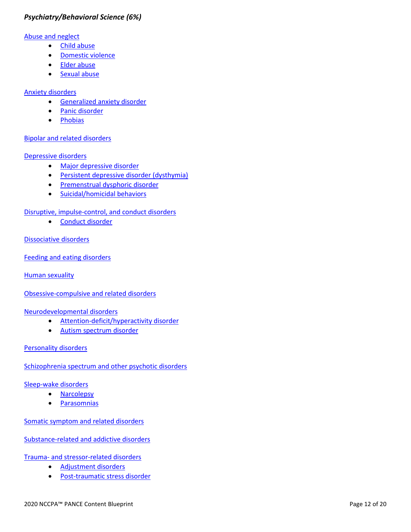## <span id="page-12-0"></span>*Psychiatry/Behavioral Science (6%)*

#### [Abuse and neglect](https://smartypance.com/lessons/abuse-and-neglect/)

- Child [abuse](https://smartypance.com/lessons/other-behavioremotional-disorders/childelder-abuse/)
- [Domestic](https://smartypance.com/lessons/other-behavioremotional-disorders/domestic-violence/) violence
- Elder [abuse](https://smartypance.com/lessons/other-behavioremotional-disorders/childelder-abuse/)
- [Sexual](https://smartypance.com/lessons/abuse-and-neglect/sexual-abuse/) abuse

#### [Anxiety disorders](https://smartypance.com/lessons/anxiety-disorders/)

- [Generalized anxiety](https://smartypance.com/lessons/anxiety-disorders/general-anxiety-disorder/) disorder
- Panic [disorder](https://smartypance.com/lessons/anxiety-disorders/panic-disorder/)
- [Phobias](https://smartypance.com/lessons/anxiety-disorders/phobias/)

#### [Bipolar and related disorders](https://smartypance.com/lessons/bipolar/)

#### [Depressive disorders](https://smartypance.com/lessons/mood-disorders/depressive/)

- [Major depressive](https://smartypance.com/lessons/depressive-disorders-pearls/depressive-reeldx480) disorder
- [Persistent depressive disorder \(dysthymia\)](https://smartypance.com/lessons/depressive-disorders-pearls/dysthymic/)
- [Premenstrual dysphoric](https://smartypance.com/lessons/depressive-disorders-pearls/premenstrual-dysphoric-disorder-pmdd/) disorder
- [Suicidal/homicidal](https://smartypance.com/lessons/depressive-disorders-pearls/suicide/) behaviors

## [Disruptive, impulse-control, and conduct disorders](https://smartypance.com/lessons/disruptive-impulse-control-and-conduct-disorders/)

• [Conduct disorder](https://smartypance.com/lessons/disruptive-impulse-control-and-conduct-disorders/conduct-disorders/)

#### [Dissociative disorders](https://smartypance.com/lessons/dissociative-disorders/)

[Feeding and eating disorders](https://smartypance.com/lessons/eating-disorders-reeldx687/)

Human [sexuality](https://smartypance.com/lessons/human-sexuality/)

[Obsessive-compulsive and related disorders](https://smartypance.com/lessons/obsessive-compulsive-and-related-disorders/)

[Neurodevelopmental disorders](https://smartypance.com/lessons/neurodevelopmental-disorders-pearls/)

- [Attention-deficit/hyperactivity](https://smartypance.com/lessons/neurodevelopmental-disorders-pearls/attention-deficithyperactivity-disorder-reeldx194/) disorder
- [Autism spectrum disorder](https://smartypance.com/lessons/neurodevelopmental-disorders-pearls/autistic-disorder/)

## [Personality](https://smartypance.com/lessons/personality-disorders/) disorders

[Schizophrenia spectrum and other psychotic disorders](https://smartypance.com/lessons/schizophrenia)

#### [Sleep-wake](https://smartypance.com/lessons/schizophrenia) disorders

- [Narcolepsy](https://smartypance.com/lessons/sleep-wake-disorders-pearls/narcolepsy/)
- [Parasomnias](https://smartypance.com/lessons/sleep-wake-disorders-pearls/parasomnias/)

[Somatic symptom and related disorders](https://smartypance.com/lessons/somatoform-disorders/)

[Substance-related and addictive disorders](https://smartypance.com/lessons/substance-use-disorders-reeldx840/)

Trauma- [and stressor-related disorders](https://smartypance.com/lessons/trauma-and-stressor-related-disorders/)

- [Adjustment](https://smartypance.com/lessons/trauma-and-stressor-related-disorders/adjustment/) disorders
- [Post-traumatic stress](https://smartypance.com/lessons/trauma-and-stressor-related-disorders/post-traumatic-stress-disorder/) disorder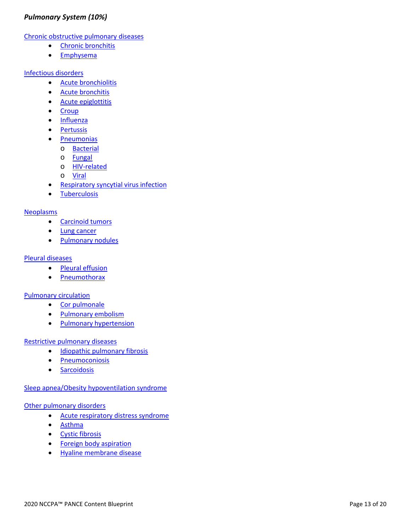## <span id="page-13-0"></span>*Pulmonary System (10%)*

[Chronic obstructive pulmonary diseases](https://smartypance.com/lessons/obstructive-pulmonary-diesase/)

- Chronic [bronchitis](https://smartypance.com/lessons/obstructive-pulmonary-diesase/chronic-bronchitis-reeldx264/)
- [Emphysema](https://smartypance.com/lessons/obstructive-pulmonary-diesase/emphysema/)

#### [Infectious disorders](https://smartypance.com/lessons/infectious-disorders/)

- Acute [bronchiolitis](https://smartypance.com/lessons/infectious-disorders/acute-bronchitis-reeldx267/)
- Acute [bronchitis](https://smartypance.com/lessons/infectious-disorders/acute-bronchitis-reeldx267/)
- [Acute epiglottitis](https://smartypance.com/lessons/infectious-disorders/acute-epiglottitis/)
- [Croup](https://smartypance.com/lessons/infectious-disorders/croup-reeldx311/)
- [Influenza](https://smartypance.com/lessons/infectious-disorders/influenza-reeldx287/)
- [Pertussis](https://smartypance.com/lessons/infectious-disorders/pertussis/)
- [Pneumonias](https://smartypance.com/lessons/infectious-disorders/pneumonias/)
	- o [Bacterial](https://smartypance.com/lessons/infectious-disorders/pneumonias/bacterial-pneumonia-reeldx332/)
	- o [Fungal](https://smartypance.com/lessons/infectious-disorders/pneumonias/fungal-pneumonia/)
	- o [HIV-related](https://smartypance.com/lessons/infectious-disorders/pneumonias/hiv-related-pneumonia/)
	- o [Viral](https://smartypance.com/lessons/infectious-disorders/pneumonias/viral-pneumonia/)
- **[Respiratory syncytial virus](https://smartypance.com/lessons/infectious-disorders/respiratory-syncytial-virus-infection-reeldx044/) infection**
- [Tuberculosis](https://smartypance.com/lessons/infectious-disorders/tuberculosis-reeldx471/)

#### [Neoplasms](https://smartypance.com/lessons/pulmonary-neoplastic-disease/)

- [Carcinoid](https://smartypance.com/lessons/pulmonary-neoplastic-disease/carcinoid-tumors/) tumors
- Lung [cancer](https://smartypance.com/lessons/pulmonary-neoplastic-disease/lung-cancer-reeldx495/)
- [Pulmonary](https://smartypance.com/lessons/pulmonary-neoplastic-disease/pulmonary-nodules/) nodules

#### [Pleural diseases](https://smartypance.com/lessons/pleural-diseases/)

- Pleural [effusion](https://smartypance.com/lessons/pleural-diseases/pleural-effusion-reeldx488/)
- [Pneumothorax](https://smartypance.com/lessons/pleural-diseases/pneumothorax-reeldx417/)

#### [Pulmonary circulation](https://smartypance.com/lessons/pulmonary-circulation/)

- Cor [pulmonale](https://smartypance.com/lessons/pulmonary-circulation/)
- [Pulmonary](https://smartypance.com/lessons/pulmonary-circulation/pulmonary-embolism-reeldx418/) embolism
- Pulmonary [hypertension](https://smartypance.com/lessons/pulmonary-circulation/pulmonary-hypertension/)

#### [Restrictive pulmonary diseases](https://smartypance.com/lessons/restrictive-pulmonary-disease/)

- [Idiopathic pulmonary](https://smartypance.com/lessons/restrictive-pulmonary-disease/idiopathic-pulmonary-fibrosis/) fibrosis
- [Pneumoconiosis](https://smartypance.com/lessons/restrictive-pulmonary-disease/pneumoconiosis/)
- [Sarcoidosis](https://smartypance.com/lessons/restrictive-pulmonary-disease/sarcoidosis/)

#### [Sleep apnea/Obesity hypoventilation syndrome](https://smartypance.com/lessons/sleep-apnea-and-obesity-hypoventilation-syndrome/)

#### [Other pulmonary disorders](https://smartypance.com/lessons/other-pulmonary-disease/)

- [Acute respiratory distress](https://smartypance.com/lessons/other-pulmonary-disease/acute-respiratory-distress-syndrome/) syndrome
- [Asthma](https://smartypance.com/lessons/obstructive-pulmonary-diesase/asthma-reeldx448/)
- Cystic [fibrosis](https://smartypance.com/lessons/obstructive-pulmonary-diesase/cystic-fibrosis/)
- [Foreign body](https://smartypance.com/lessons/other-pulmonary-disease/foreign-body-aspiration/) aspiration
- [Hyaline membrane](https://smartypance.com/lessons/other-pulmonary-disease/hyaline-membrane-disease/) disease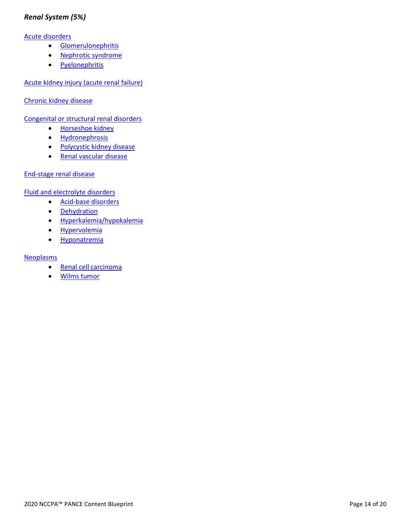## <span id="page-14-0"></span>*Renal System (5%)*

#### [Acute disorders](https://smartypance.com/lessons/acute-disorders-pearls/)

- [Glomerulonephritis](https://smartypance.com/lessons/acute-disorders-pearls/glomerulonephritis-reeldx466/)
- [Nephrotic](https://smartypance.com/lessons/acute-disorders-pearls/nephrotic-syndrome-reeldx466/) syndrome
- [Pyelonephritis](https://smartypance.com/lessons/acute-disorders-pearls/pyelonephritis-lecture/)

[Acute kidney injury \(acute renal failure\)](https://smartypance.com/lessons/acute-renal-failure-reeldx174/)

[Chronic kidney disease](https://smartypance.com/lessons/chronic-kidney-disease/)

[Congenital or structural renal disorders](https://smartypance.com/lessons/congenital-or-structural-renal-disorders-pearls/)

- [Horseshoe](https://smartypance.com/lessons/congenital-or-structural-renal-disorders-pearls/horseshoe-kidney/) kidney
- [Hydronephrosis](https://smartypance.com/lessons/congenital-or-structural-renal-disorders-pearls/hydronephrosis/)
- [Polycystic kidney](https://smartypance.com/lessons/congenital-or-structural-renal-disorders-pearls/polycystic-kidney-disease) disease
- [Renal vascular disease](https://smartypance.com/lessons/congenital-or-structural-renal-disorders-pearls/renal-vascular-disease/)

#### [End-stage renal](https://smartypance.com/lessons/end-stage-renal-disease-esrd/) disease

[Fluid and electrolyte disorders](https://smartypance.com/lessons/fluid-electrolyte-disorders/)

- [Acid-base](https://smartypance.com/lessons/fluid-electrolyte-disorders/acidbase-disorders/) disorders
- [Dehydration](https://smartypance.com/lessons/fluid-electrolyte-disorders/dehydration/)
- [Hyperkalemia/hypokalemia](https://smartypance.com/lessons/fluid-electrolyte-disorders/hyperkalemia-hypokalemia/)
- [Hypervolemia](https://smartypance.com/lessons/fluid-electrolyte-disorders/hypervolemia/)
- [Hyponatremia](vhttps://smartypance.com/lessons/fluid-electrolyte-disorders/hyponatremia/)

#### **[Neoplasms](https://smartypance.com/lessons/neoplastic-diseases-of-the-renal-system-pearls/renal-cell-carcinoma/)**

- Renal cell [carcinoma](https://smartypance.com/lessons/neoplastic-diseases-of-the-renal-system-pearls/renal-cell-carcinoma/)
- [Wilms](https://smartypance.com/lessons/neoplastic-diseases-of-the-renal-system-pearls/wilms-tumor-reeldx305/) tumor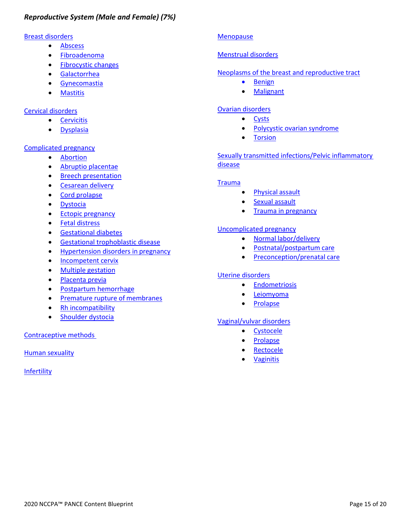## <span id="page-15-0"></span>[Breast disorders](https://smartypance.com/lessons/breast/)

- [Abscess](https://smartypance.com/lessons/breast/abscess/)
- [Fibroadenoma](https://smartypance.com/lessons/breast/fibroadenoma/)
- [Fibrocystic changes](https://smartypance.com/lessons/breast/fibrocystic-disease/)
- [Galactorrhea](https://smartypance.com/lessons/breast/galactorrhea/)
- [Gynecomastia](https://smartypance.com/lessons/breast/gynecomastia/)
- [Mastitis](https://smartypance.com/lessons/breast/mastitis/)

## [Cervical disorders](https://smartypance.com/lessons/cervix/)

- [Cervicitis](https://smartypance.com/lessons/cervix/cervicitis/)
- [Dysplasia](https://smartypance.com/lessons/cervix/dysplasia/)

## [Complicated pregnancy](https://smartypance.com/lessons/complicated-pregnancy/)

- [Abortion](https://smartypance.com/lessons/complicated-pregnancy/abortion/)
- [Abruptio placentae](https://smartypance.com/lessons/complicated-pregnancy/abruptio-placentae/)
- Breech [presentation](https://smartypance.com/lessons/complicated-pregnancy/breech-presentation/)
- [Cesarean](https://smartypance.com/lessons/complicated-pregnancy/cesarean-section/) delivery
- Cord [prolapse](https://smartypance.com/lessons/complicated-pregnancy/cord-prolapse/)
- [Dystocia](https://smartypance.com/lessons/complicated-pregnancy/dystocia/)
- **Ectopic [pregnancy](https://smartypance.com/lessons/complicated-pregnancy/ectopic-pregnancy/)**
- [Fetal distress](https://smartypance.com/lessons/complicated-pregnancy/fetal-distress/)
- [Gestational](https://smartypance.com/lessons/complicated-pregnancy/gestational-diabetes/) diabetes
- [Gestational trophoblastic](https://smartypance.com/lessons/complicated-pregnancy/gestational-trophoblastic/) disease
- [Hypertension disorders in](https://smartypance.com/lessons/complicated-pregnancy/hypertension-disorders-pregnancy/) pregnancy
- [Incompetent](https://smartypance.com/lessons/cervix/incompetent/) cervix
- Multiple [gestation](https://smartypance.com/lessons/complicated-pregnancy/multiple-gestation/)
- [Placenta](https://smartypance.com/lessons/complicated-pregnancy/placenta-previa/) previa
- [Postpartum hemorrhage](https://smartypance.com/lessons/complicated-pregnancy/postpartum-hemorrhage/)
- [Premature rupture of](https://smartypance.com/lessons/complicated-pregnancy/premature-rupture-membranes/) membranes
- Rh [incompatibility](https://smartypance.com/lessons/complicated-pregnancy/rh-incompatibility/)
- [Shoulder dystocia](https://smartypance.com/lessons/complicated-pregnancy/dystocia/)

## [Contraceptive methods](https://smartypance.com/lessons/complicated-pregnancy/dystocia/)

Human [sexuality](https://smartypance.com/lessons/complicated-pregnancy/dystocia/)

**[Infertility](https://smartypance.com/lessons/infertility/)** 

## **[Menopause](https://smartypance.com/lessons/menopause/)**

## [Menstrual disorders](https://smartypance.com/lessons/menstrual-disorders/)

## [Neoplasms of the breast and reproductive tract](https://smartypance.com/lessons/neoplasms-of-the-breast-and-reproductive-tract/)

- [Benign](https://smartypance.com/lessons/neoplasms-of-the-breast-and-reproductive-tract/)
- [Malignant](https://smartypance.com/lessons/neoplasms-of-the-breast-and-reproductive-tract/)

## [Ovarian disorders](https://smartypance.com/lessons/ovary/)

- [Cysts](https://smartypance.com/lessons/ovary/cysts/)
- [Polycystic ovarian](https://smartypance.com/lessons/ovary/polycystic-ovarian-syndrome-reeldx300/) syndrome
- [Torsion](https://smartypance.com/lessons/ovary/ovarian-torsion/)

## [Sexually transmitted infections/Pelvic inflammatory](https://smartypance.com/lessons/sexually-transmitted-infections/)  [disease](https://smartypance.com/lessons/sexually-transmitted-infections/)

## **[Trauma](https://smartypance.com/lessons/trauma-pearls/)**

- [Physical](https://smartypance.com/lessons/trauma-pearls/physical-assault/) assault
- Sexual [assault](https://smartypance.com/lessons/trauma-pearls/sexual-assault/)
- Trauma in [pregnancy](https://smartypance.com/lessons/trauma-pearls/trauma-in-pregnancy/)

## [Uncomplicated pregnancy](https://smartypance.com/lessons/uncomplicated-pregnancy/)

- Normal [labor/delivery](https://smartypance.com/lessons/uncomplicated-pregnancy/normal-labordelivery/)
- [Postnatal/postpartum](https://smartypance.com/lessons/uncomplicated-pregnancy/postnatal-postpartum-care/) care
- **[Preconception/prenatal](https://smartypance.com/lessons/uncomplicated-pregnancy/prenatal-diagnosiscare/) care**

## [Uterine disorders](https://smartypance.com/lessons/uterus/)

- [Endometriosis](https://smartypance.com/lessons/uterus/endometriosis/)
- [Leiomyoma](https://smartypance.com/lessons/uterus/leiomyoma/)
- [Prolapse](https://smartypance.com/lessons/uterus/prolapse/)

## [Vaginal/vulvar disorders](https://smartypance.com/lessons/vanginavulva/)

- [Cystocele](https://smartypance.com/lessons/vanginavulva/cystocele/)
- **[Prolapse](https://smartypance.com/lessons/vanginavulva/prolapse/)**
- **[Rectocele](https://smartypance.com/lessons/vanginavulva/rectocele/)**
- **[Vaginitis](https://smartypance.com/lessons/vanginavulva/vaginitis/)**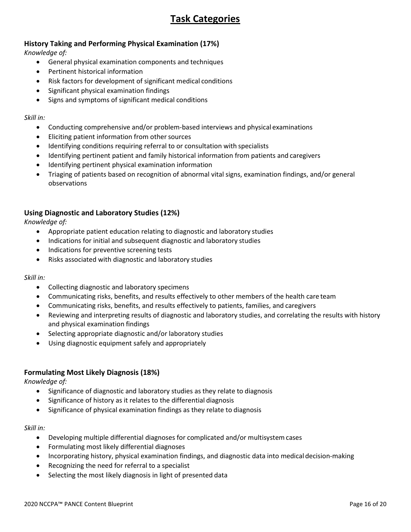# **Task Categories**

## **History Taking and Performing Physical Examination (17%)**

*Knowledge of:*

- General physical examination components and techniques
- Pertinent historical information
- Risk factors for development of significant medical conditions
- Significant physical examination findings
- Signs and symptoms of significant medical conditions

#### *Skill in:*

- Conducting comprehensive and/or problem-based interviews and physical examinations
- Eliciting patient information from other sources
- Identifying conditions requiring referral to or consultation with specialists
- Identifying pertinent patient and family historical information from patients and caregivers
- Identifying pertinent physical examination information
- Triaging of patients based on recognition of abnormal vital signs, examination findings, and/or general observations

## **Using Diagnostic and Laboratory Studies (12%)**

*Knowledge of:*

- Appropriate patient education relating to diagnostic and laboratory studies
- Indications for initial and subsequent diagnostic and laboratory studies
- Indications for preventive screening tests
- Risks associated with diagnostic and laboratory studies

#### *Skill in:*

- Collecting diagnostic and laboratory specimens
- Communicating risks, benefits, and results effectively to other members of the health care team
- Communicating risks, benefits, and results effectively to patients, families, and caregivers
- Reviewing and interpreting results of diagnostic and laboratory studies, and correlating the results with history and physical examination findings
- Selecting appropriate diagnostic and/or laboratory studies
- Using diagnostic equipment safely and appropriately

#### **Formulating Most Likely Diagnosis (18%)**

*Knowledge of:*

- Significance of diagnostic and laboratory studies as they relate to diagnosis
- Significance of history as it relates to the differential diagnosis
- Significance of physical examination findings as they relate to diagnosis

#### *Skill in:*

- Developing multiple differential diagnoses for complicated and/or multisystemcases
- Formulating most likely differential diagnoses
- Incorporating history, physical examination findings, and diagnostic data into medical decision-making
- Recognizing the need for referral to a specialist
- Selecting the most likely diagnosis in light of presented data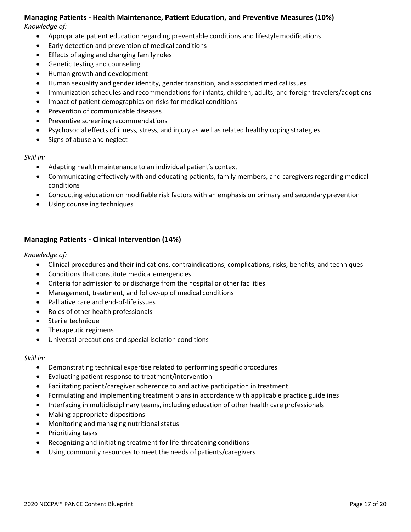# **Managing Patients - Health Maintenance, Patient Education, and Preventive Measures (10%)**

*Knowledge of:*

- Appropriate patient education regarding preventable conditions and lifestyle modifications
- Early detection and prevention of medical conditions
- Effects of aging and changing family roles
- Genetic testing and counseling
- Human growth and development
- Human sexuality and gender identity, gender transition, and associated medical issues
- Immunization schedules and recommendations for infants, children, adults, and foreign travelers/adoptions
- Impact of patient demographics on risks for medical conditions
- Prevention of communicable diseases
- Preventive screening recommendations
- Psychosocial effects of illness, stress, and injury as well as related healthy coping strategies
- Signs of abuse and neglect

#### *Skill in:*

- Adapting health maintenance to an individual patient's context
- Communicating effectively with and educating patients, family members, and caregivers regarding medical conditions
- Conducting education on modifiable risk factors with an emphasis on primary and secondary prevention
- Using counseling techniques

## **Managing Patients - Clinical Intervention (14%)**

#### *Knowledge of:*

- Clinical procedures and their indications, contraindications, complications, risks, benefits, and techniques
- Conditions that constitute medical emergencies
- Criteria for admission to or discharge from the hospital or other facilities
- Management, treatment, and follow-up of medical conditions
- Palliative care and end-of-life issues
- Roles of other health professionals
- Sterile technique
- Therapeutic regimens
- Universal precautions and special isolation conditions

#### *Skill in:*

- Demonstrating technical expertise related to performing specific procedures
- Evaluating patient response to treatment/intervention
- Facilitating patient/caregiver adherence to and active participation in treatment
- Formulating and implementing treatment plans in accordance with applicable practice guidelines
- Interfacing in multidisciplinary teams, including education of other health care professionals
- Making appropriate dispositions
- Monitoring and managing nutritional status
- Prioritizing tasks
- Recognizing and initiating treatment for life-threatening conditions
- Using community resources to meet the needs of patients/caregivers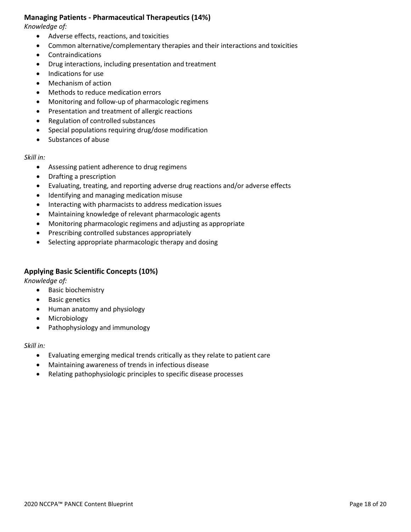#### **Managing Patients - Pharmaceutical Therapeutics (14%)**

*Knowledge of:*

- Adverse effects, reactions, and toxicities
- Common alternative/complementary therapies and their interactions and toxicities
- Contraindications
- Drug interactions, including presentation and treatment
- Indications for use
- Mechanism of action
- Methods to reduce medication errors
- Monitoring and follow-up of pharmacologic regimens
- Presentation and treatment of allergic reactions
- Regulation of controlled substances
- Special populations requiring drug/dose modification
- Substances of abuse

#### *Skill in:*

- Assessing patient adherence to drug regimens
- Drafting a prescription
- Evaluating, treating, and reporting adverse drug reactions and/or adverse effects
- Identifying and managing medication misuse
- Interacting with pharmacists to address medication issues
- Maintaining knowledge of relevant pharmacologic agents
- Monitoring pharmacologic regimens and adjusting as appropriate
- Prescribing controlled substances appropriately
- Selecting appropriate pharmacologic therapy and dosing

## **Applying Basic Scientific Concepts (10%)**

*Knowledge of:*

- Basic biochemistry
- **Basic genetics**
- Human anatomy and physiology
- Microbiology
- Pathophysiology and immunology

#### *Skill in:*

- Evaluating emerging medical trends critically as they relate to patient care
- Maintaining awareness of trends in infectious disease
- Relating pathophysiologic principles to specific disease processes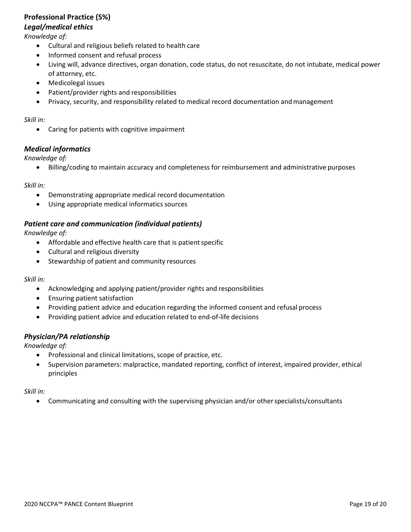## **Professional Practice (5%)**

#### *Legal/medical ethics*

*Knowledge of:*

- Cultural and religious beliefs related to health care
- Informed consent and refusal process
- Living will, advance directives, organ donation, code status, do not resuscitate, do not intubate, medical power of attorney, etc.
- Medicolegal issues
- Patient/provider rights and responsibilities
- Privacy, security, and responsibility related to medical record documentation and management

#### *Skill in:*

• Caring for patients with cognitive impairment

#### *Medical informatics*

*Knowledge of:*

• Billing/coding to maintain accuracy and completeness for reimbursement and administrative purposes

#### *Skill in:*

- Demonstrating appropriate medical record documentation
- Using appropriate medical informatics sources

#### *Patient care and communication (individual patients)*

*Knowledge of:*

- $\bullet$  Affordable and effective health care that is patient specific
- Cultural and religious diversity
- Stewardship of patient and community resources

#### *Skill in:*

- Acknowledging and applying patient/provider rights and responsibilities
- Ensuring patient satisfaction
- Providing patient advice and education regarding the informed consent and refusal process
- Providing patient advice and education related to end-of-life decisions

#### *Physician/PA relationship*

*Knowledge of:*

- Professional and clinical limitations, scope of practice, etc.
- Supervision parameters: malpractice, mandated reporting, conflict of interest, impaired provider, ethical principles

*Skill in:*

• Communicating and consulting with the supervising physician and/or other specialists/consultants